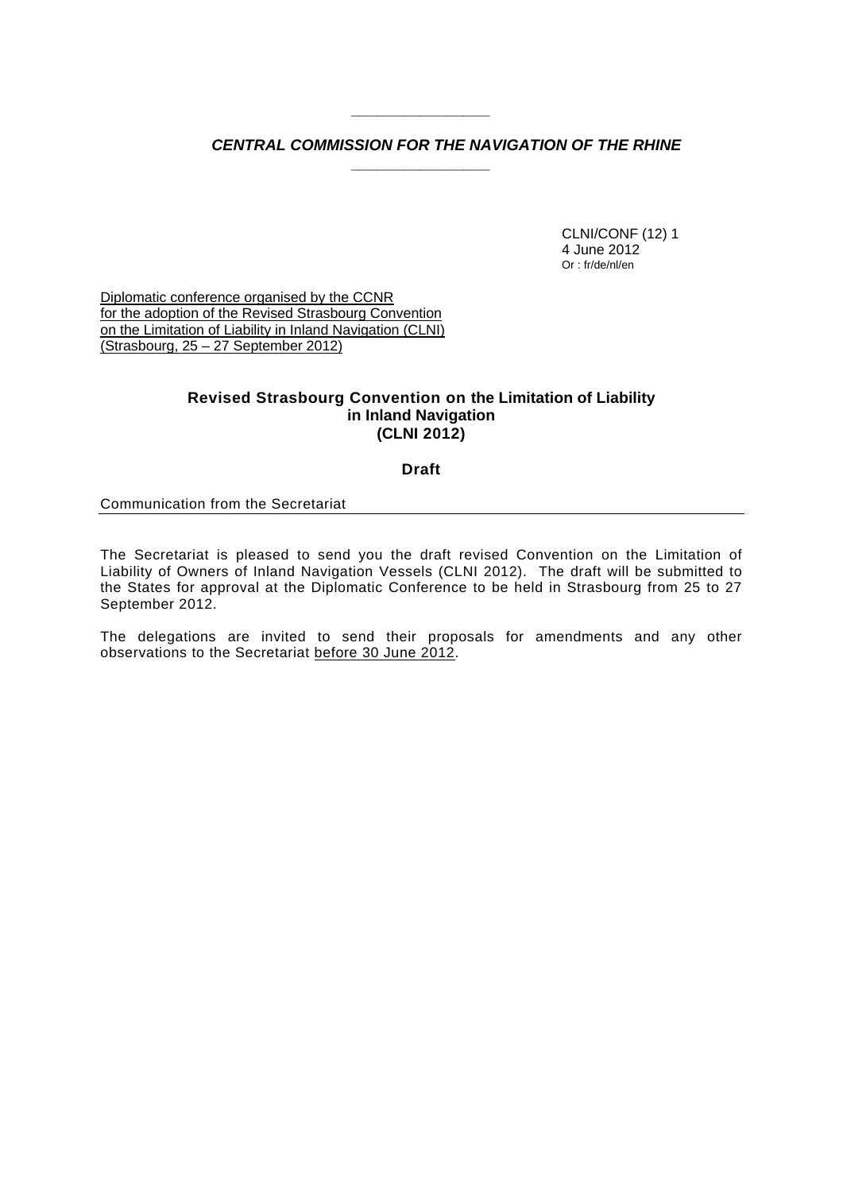# *CENTRAL COMMISSION FOR THE NAVIGATION OF THE RHINE*

*\_\_\_\_\_\_\_\_\_\_\_\_\_\_\_\_* 

*\_\_\_\_\_\_\_\_\_\_\_\_\_\_\_\_* 

CLNI/CONF (12) 1 4 June 2012 Or : fr/de/nl/en

Diplomatic conference organised by the CCNR for the adoption of the Revised Strasbourg Convention on the Limitation of Liability in Inland Navigation (CLNI) (Strasbourg, 25 – 27 September 2012)

# **Revised Strasbourg Convention on the Limitation of Liability in Inland Navigation (CLNI 2012)**

**Draft** 

#### Communication from the Secretariat

The Secretariat is pleased to send you the draft revised Convention on the Limitation of Liability of Owners of Inland Navigation Vessels (CLNI 2012). The draft will be submitted to the States for approval at the Diplomatic Conference to be held in Strasbourg from 25 to 27 September 2012.

The delegations are invited to send their proposals for amendments and any other observations to the Secretariat before 30 June 2012.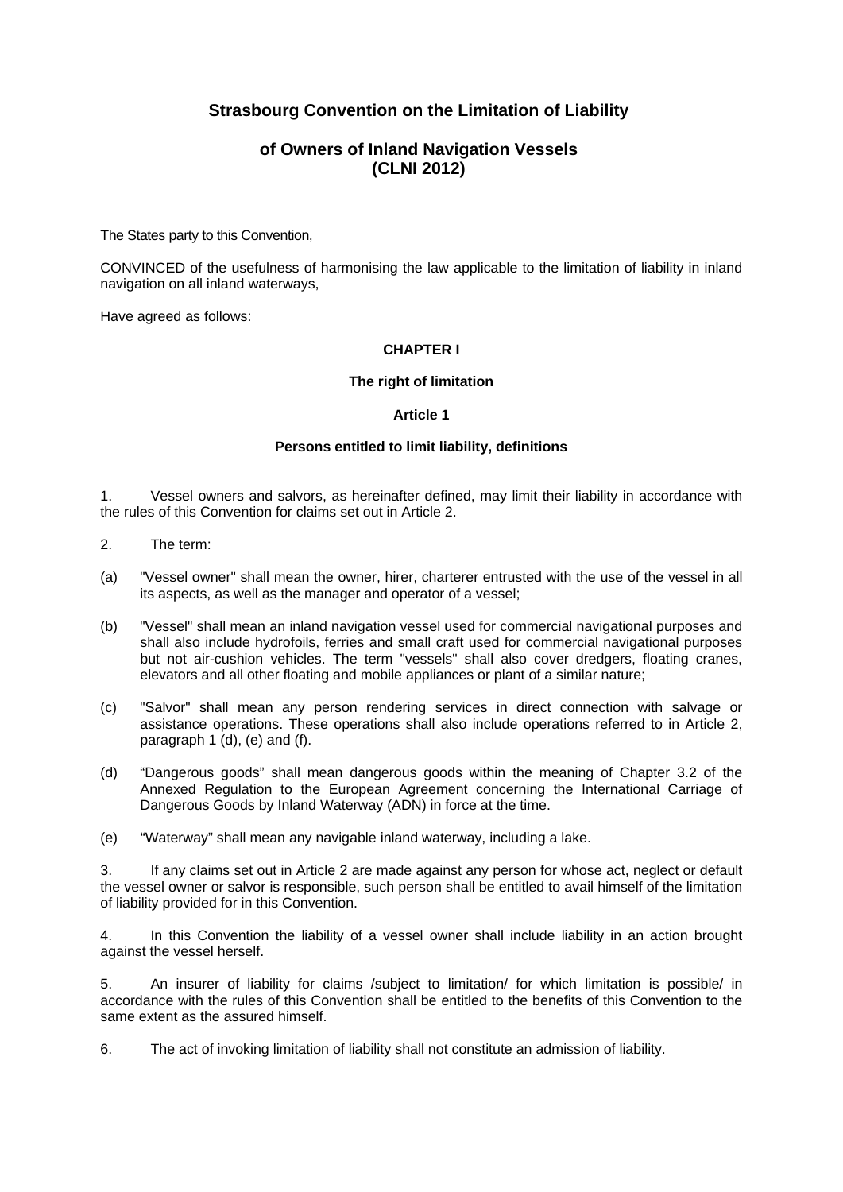# **Strasbourg Convention on the Limitation of Liability**

# **of Owners of Inland Navigation Vessels (CLNI 2012)**

The States party to this Convention,

CONVINCED of the usefulness of harmonising the law applicable to the limitation of liability in inland navigation on all inland waterways,

Have agreed as follows:

# **CHAPTER I**

## **The right of limitation**

#### **Article 1**

#### **Persons entitled to limit liability, definitions**

1. Vessel owners and salvors, as hereinafter defined, may limit their liability in accordance with the rules of this Convention for claims set out in Article 2.

- 2. The term:
- (a) "Vessel owner" shall mean the owner, hirer, charterer entrusted with the use of the vessel in all its aspects, as well as the manager and operator of a vessel;
- (b) "Vessel" shall mean an inland navigation vessel used for commercial navigational purposes and shall also include hydrofoils, ferries and small craft used for commercial navigational purposes but not air-cushion vehicles. The term "vessels" shall also cover dredgers, floating cranes, elevators and all other floating and mobile appliances or plant of a similar nature;
- (c) "Salvor" shall mean any person rendering services in direct connection with salvage or assistance operations. These operations shall also include operations referred to in Article 2, paragraph 1 (d), (e) and (f).
- (d) "Dangerous goods" shall mean dangerous goods within the meaning of Chapter 3.2 of the Annexed Regulation to the European Agreement concerning the International Carriage of Dangerous Goods by Inland Waterway (ADN) in force at the time.
- (e) "Waterway" shall mean any navigable inland waterway, including a lake.

3. If any claims set out in Article 2 are made against any person for whose act, neglect or default the vessel owner or salvor is responsible, such person shall be entitled to avail himself of the limitation of liability provided for in this Convention.

4. In this Convention the liability of a vessel owner shall include liability in an action brought against the vessel herself.

5. An insurer of liability for claims /subject to limitation/ for which limitation is possible/ in accordance with the rules of this Convention shall be entitled to the benefits of this Convention to the same extent as the assured himself.

6. The act of invoking limitation of liability shall not constitute an admission of liability.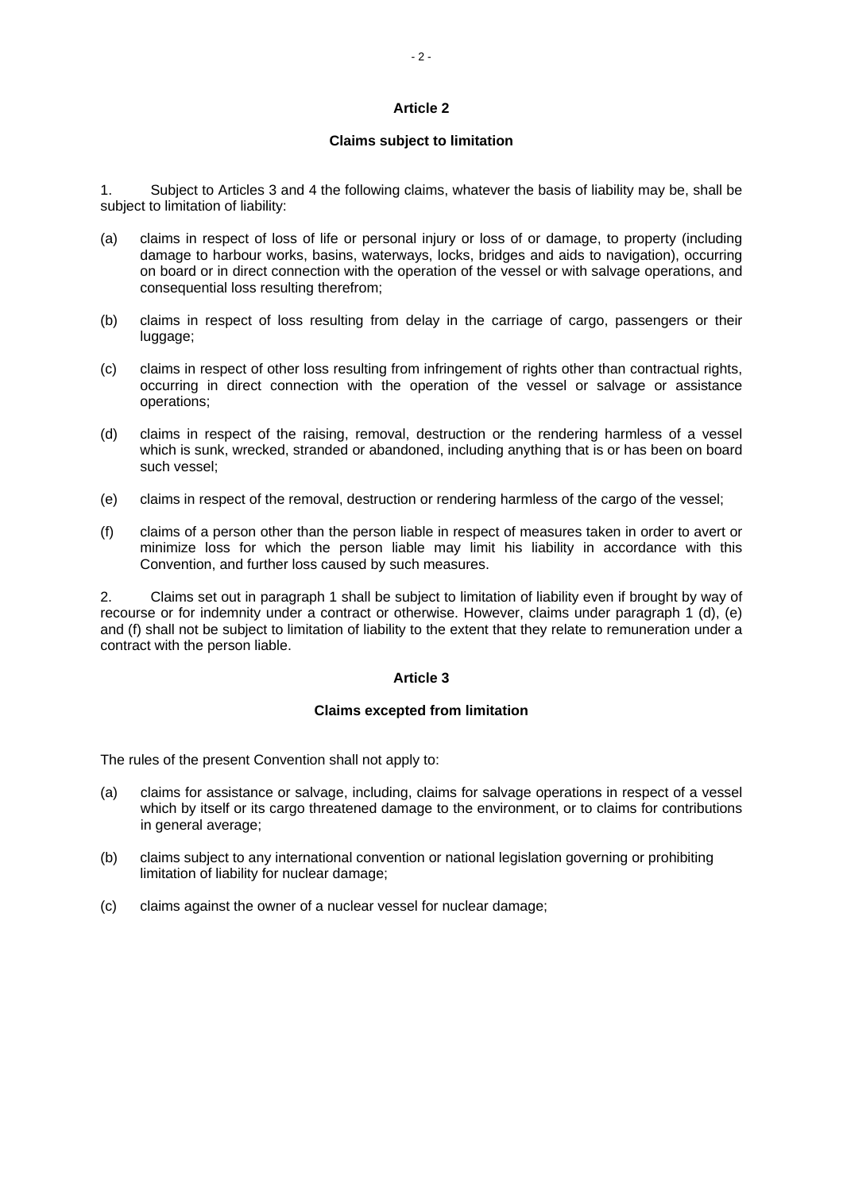#### **Article 2**

#### **Claims subject to limitation**

1. Subject to Articles 3 and 4 the following claims, whatever the basis of liability may be, shall be subject to limitation of liability:

- (a) claims in respect of loss of life or personal injury or loss of or damage, to property (including damage to harbour works, basins, waterways, locks, bridges and aids to navigation), occurring on board or in direct connection with the operation of the vessel or with salvage operations, and consequential loss resulting therefrom;
- (b) claims in respect of loss resulting from delay in the carriage of cargo, passengers or their luggage;
- (c) claims in respect of other loss resulting from infringement of rights other than contractual rights, occurring in direct connection with the operation of the vessel or salvage or assistance operations;
- (d) claims in respect of the raising, removal, destruction or the rendering harmless of a vessel which is sunk, wrecked, stranded or abandoned, including anything that is or has been on board such vessel;
- (e) claims in respect of the removal, destruction or rendering harmless of the cargo of the vessel;
- (f) claims of a person other than the person liable in respect of measures taken in order to avert or minimize loss for which the person liable may limit his liability in accordance with this Convention, and further loss caused by such measures.

2. Claims set out in paragraph 1 shall be subject to limitation of liability even if brought by way of recourse or for indemnity under a contract or otherwise. However, claims under paragraph 1 (d), (e) and (f) shall not be subject to limitation of liability to the extent that they relate to remuneration under a contract with the person liable.

#### **Article 3**

#### **Claims excepted from limitation**

The rules of the present Convention shall not apply to:

- (a) claims for assistance or salvage, including, claims for salvage operations in respect of a vessel which by itself or its cargo threatened damage to the environment, or to claims for contributions in general average;
- (b) claims subject to any international convention or national legislation governing or prohibiting limitation of liability for nuclear damage;
- (c) claims against the owner of a nuclear vessel for nuclear damage;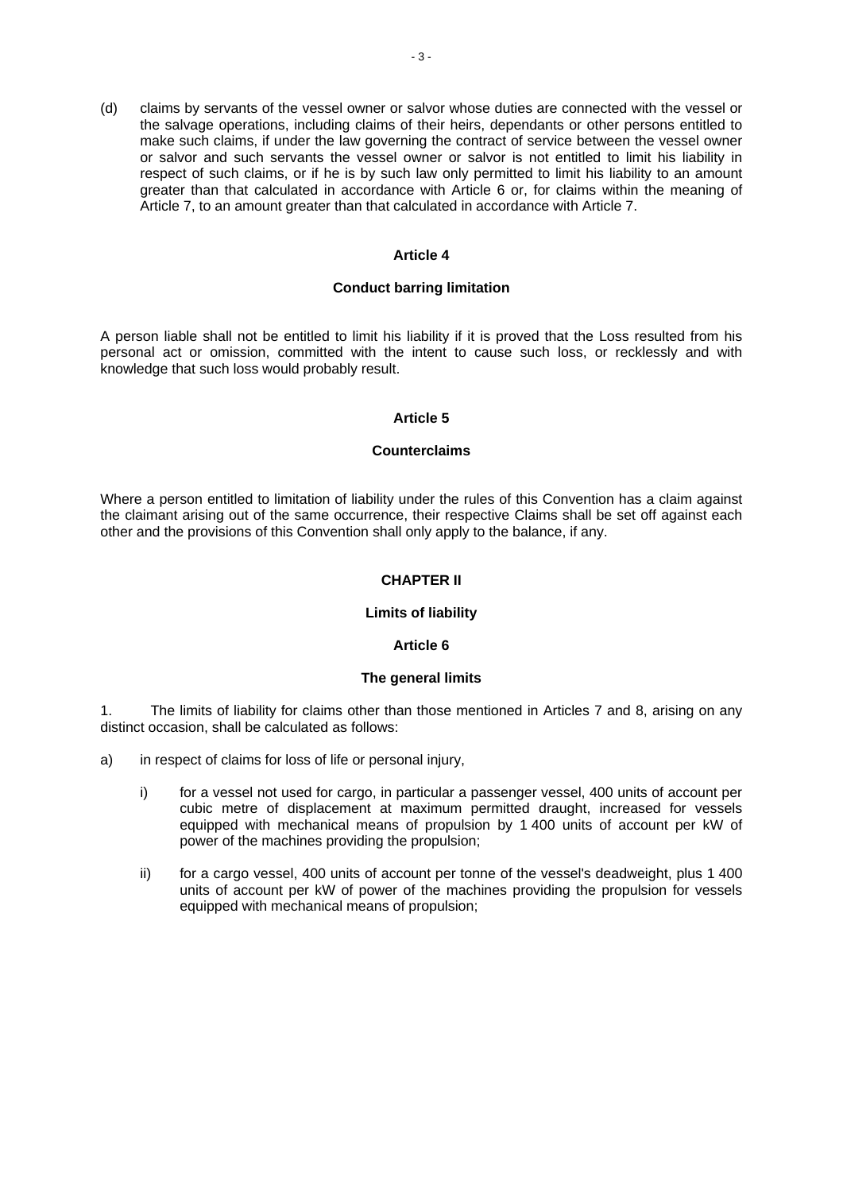(d) claims by servants of the vessel owner or salvor whose duties are connected with the vessel or the salvage operations, including claims of their heirs, dependants or other persons entitled to make such claims, if under the law governing the contract of service between the vessel owner or salvor and such servants the vessel owner or salvor is not entitled to limit his liability in respect of such claims, or if he is by such law only permitted to limit his liability to an amount greater than that calculated in accordance with Article 6 or, for claims within the meaning of Article 7, to an amount greater than that calculated in accordance with Article 7.

### **Article 4**

#### **Conduct barring limitation**

A person liable shall not be entitled to limit his liability if it is proved that the Loss resulted from his personal act or omission, committed with the intent to cause such loss, or recklessly and with knowledge that such loss would probably result.

#### **Article 5**

#### **Counterclaims**

Where a person entitled to limitation of liability under the rules of this Convention has a claim against the claimant arising out of the same occurrence, their respective Claims shall be set off against each other and the provisions of this Convention shall only apply to the balance, if any.

# **CHAPTER II**

#### **Limits of liability**

#### **Article 6**

#### **The general limits**

1. The limits of liability for claims other than those mentioned in Articles 7 and 8, arising on any distinct occasion, shall be calculated as follows:

- a) in respect of claims for loss of life or personal injury,
	- i) for a vessel not used for cargo, in particular a passenger vessel, 400 units of account per cubic metre of displacement at maximum permitted draught, increased for vessels equipped with mechanical means of propulsion by 1 400 units of account per kW of power of the machines providing the propulsion;
	- ii) for a cargo vessel, 400 units of account per tonne of the vessel's deadweight, plus 1 400 units of account per kW of power of the machines providing the propulsion for vessels equipped with mechanical means of propulsion;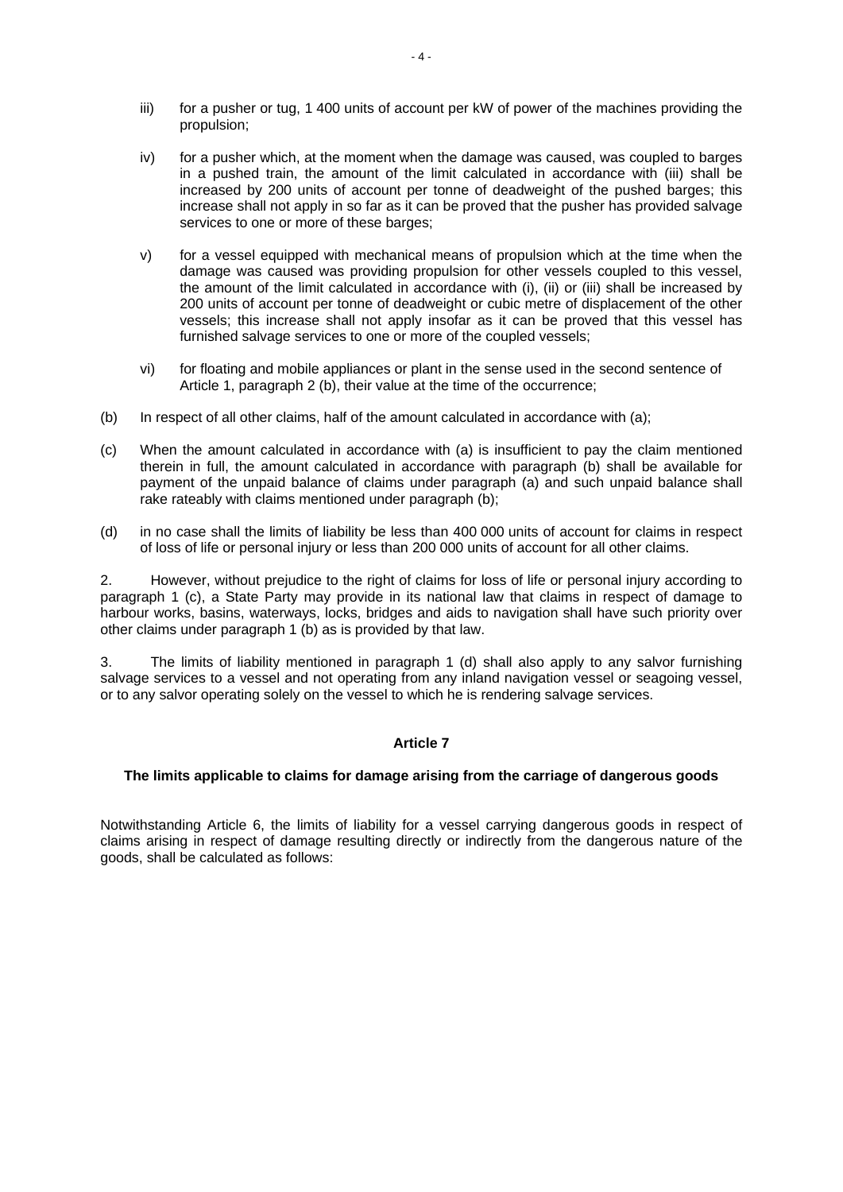- iii) for a pusher or tug, 1 400 units of account per kW of power of the machines providing the propulsion;
- iv) for a pusher which, at the moment when the damage was caused, was coupled to barges in a pushed train, the amount of the limit calculated in accordance with (iii) shall be increased by 200 units of account per tonne of deadweight of the pushed barges; this increase shall not apply in so far as it can be proved that the pusher has provided salvage services to one or more of these barges;
- v) for a vessel equipped with mechanical means of propulsion which at the time when the damage was caused was providing propulsion for other vessels coupled to this vessel, the amount of the limit calculated in accordance with (i), (ii) or (iii) shall be increased by 200 units of account per tonne of deadweight or cubic metre of displacement of the other vessels; this increase shall not apply insofar as it can be proved that this vessel has furnished salvage services to one or more of the coupled vessels;
- vi) for floating and mobile appliances or plant in the sense used in the second sentence of Article 1, paragraph 2 (b), their value at the time of the occurrence;
- (b) In respect of all other claims, half of the amount calculated in accordance with (a);
- (c) When the amount calculated in accordance with (a) is insufficient to pay the claim mentioned therein in full, the amount calculated in accordance with paragraph (b) shall be available for payment of the unpaid balance of claims under paragraph (a) and such unpaid balance shall rake rateably with claims mentioned under paragraph (b);
- (d) in no case shall the limits of liability be less than 400 000 units of account for claims in respect of loss of life or personal injury or less than 200 000 units of account for all other claims.

2. However, without prejudice to the right of claims for loss of life or personal injury according to paragraph 1 (c), a State Party may provide in its national law that claims in respect of damage to harbour works, basins, waterways, locks, bridges and aids to navigation shall have such priority over other claims under paragraph 1 (b) as is provided by that law.

3. The limits of liability mentioned in paragraph 1 (d) shall also apply to any salvor furnishing salvage services to a vessel and not operating from any inland navigation vessel or seagoing vessel, or to any salvor operating solely on the vessel to which he is rendering salvage services.

# **Article 7**

#### **The limits applicable to claims for damage arising from the carriage of dangerous goods**

Notwithstanding Article 6, the limits of liability for a vessel carrying dangerous goods in respect of claims arising in respect of damage resulting directly or indirectly from the dangerous nature of the goods, shall be calculated as follows: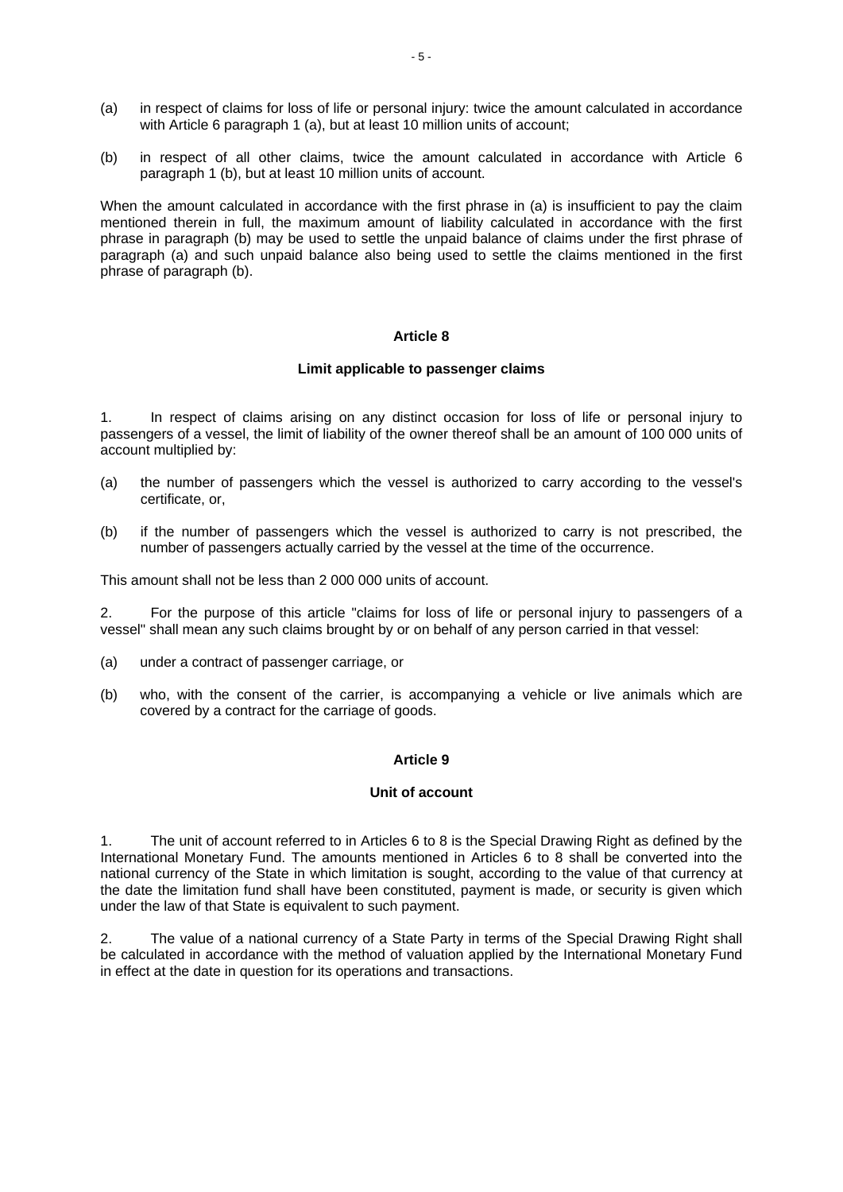- (a) in respect of claims for loss of life or personal injury: twice the amount calculated in accordance with Article 6 paragraph 1 (a), but at least 10 million units of account;
- (b) in respect of all other claims, twice the amount calculated in accordance with Article 6 paragraph 1 (b), but at least 10 million units of account.

When the amount calculated in accordance with the first phrase in (a) is insufficient to pay the claim mentioned therein in full, the maximum amount of liability calculated in accordance with the first phrase in paragraph (b) may be used to settle the unpaid balance of claims under the first phrase of paragraph (a) and such unpaid balance also being used to settle the claims mentioned in the first phrase of paragraph (b).

#### **Article 8**

#### **Limit applicable to passenger claims**

1. In respect of claims arising on any distinct occasion for loss of life or personal injury to passengers of a vessel, the limit of liability of the owner thereof shall be an amount of 100 000 units of account multiplied by:

- (a) the number of passengers which the vessel is authorized to carry according to the vessel's certificate, or,
- (b) if the number of passengers which the vessel is authorized to carry is not prescribed, the number of passengers actually carried by the vessel at the time of the occurrence.

This amount shall not be less than 2 000 000 units of account.

2. For the purpose of this article "claims for loss of life or personal injury to passengers of a vessel" shall mean any such claims brought by or on behalf of any person carried in that vessel:

- (a) under a contract of passenger carriage, or
- (b) who, with the consent of the carrier, is accompanying a vehicle or live animals which are covered by a contract for the carriage of goods.

#### **Article 9**

#### **Unit of account**

1. The unit of account referred to in Articles 6 to 8 is the Special Drawing Right as defined by the International Monetary Fund. The amounts mentioned in Articles 6 to 8 shall be converted into the national currency of the State in which limitation is sought, according to the value of that currency at the date the limitation fund shall have been constituted, payment is made, or security is given which under the law of that State is equivalent to such payment.

2. The value of a national currency of a State Party in terms of the Special Drawing Right shall be calculated in accordance with the method of valuation applied by the International Monetary Fund in effect at the date in question for its operations and transactions.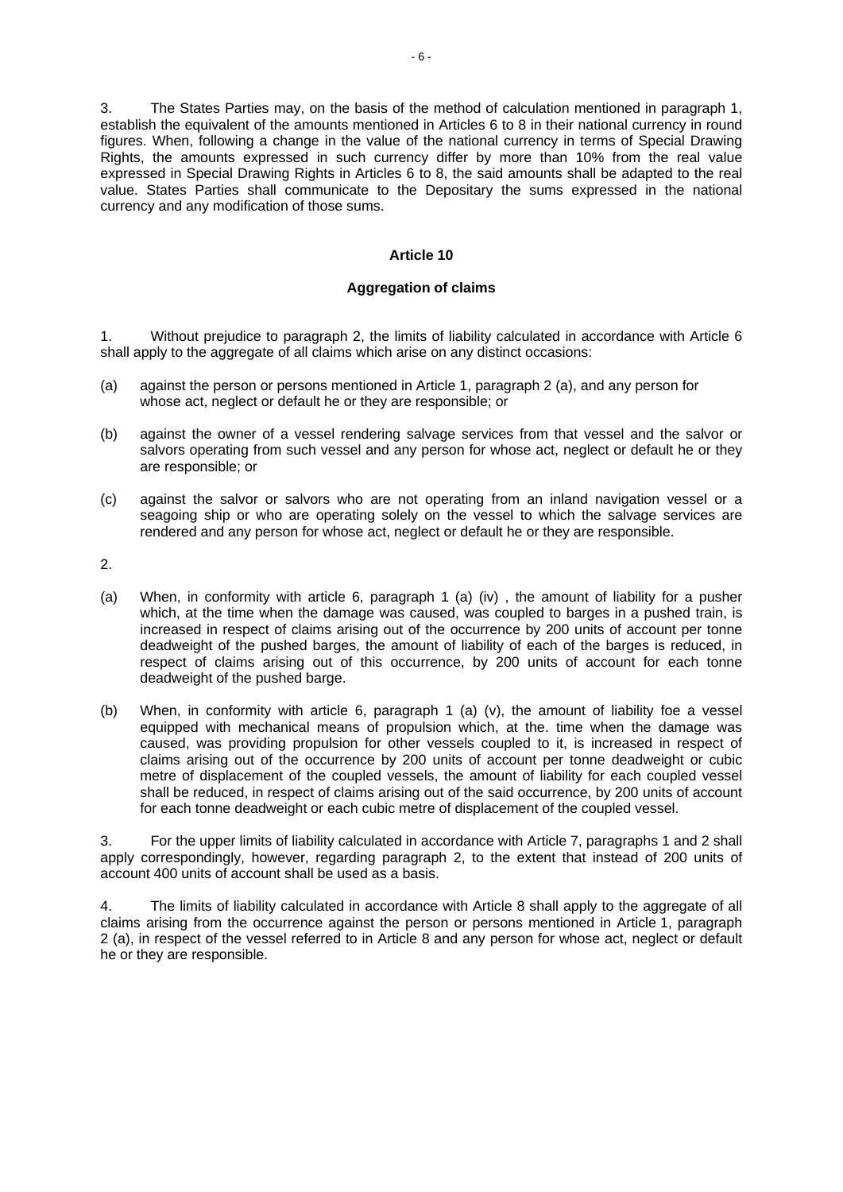3. The States Parties may, on the basis of the method of calculation mentioned in paragraph 1, establish the equivalent of the amounts mentioned in Articles 6 to 8 in their national currency in round figures. When, following a change in the value of the national currency in terms of Special Drawing Rights, the amounts expressed in such currency differ by more than 10% from the real value expressed in Special Drawing Rights in Articles 6 to 8, the said amounts shall be adapted to the real value. States Parties shall communicate to the Depositary the sums expressed in the national currency and any modification of those sums.

## **Article 10**

#### **Aggregation of claims**

1. Without prejudice to paragraph 2, the limits of liability calculated in accordance with Article 6 shall apply to the aggregate of all claims which arise on any distinct occasions:

- (a) against the person or persons mentioned in Article 1, paragraph 2 (a), and any person for whose act, neglect or default he or they are responsible; or
- (b) against the owner of a vessel rendering salvage services from that vessel and the salvor or salvors operating from such vessel and any person for whose act, neglect or default he or they are responsible; or
- (c) against the salvor or salvors who are not operating from an inland navigation vessel or a seagoing ship or who are operating solely on the vessel to which the salvage services are rendered and any person for whose act, neglect or default he or they are responsible.

2.

- (a) When, in conformity with article 6, paragraph 1 (a) (iv) , the amount of liability for a pusher which, at the time when the damage was caused, was coupled to barges in a pushed train, is increased in respect of claims arising out of the occurrence by 200 units of account per tonne deadweight of the pushed barges, the amount of liability of each of the barges is reduced, in respect of claims arising out of this occurrence, by 200 units of account for each tonne deadweight of the pushed barge.
- (b) When, in conformity with article 6, paragraph 1 (a) (v), the amount of liability foe a vessel equipped with mechanical means of propulsion which, at the. time when the damage was caused, was providing propulsion for other vessels coupled to it, is increased in respect of claims arising out of the occurrence by 200 units of account per tonne deadweight or cubic metre of displacement of the coupled vessels, the amount of liability for each coupled vessel shall be reduced, in respect of claims arising out of the said occurrence, by 200 units of account for each tonne deadweight or each cubic metre of displacement of the coupled vessel.

3. For the upper limits of liability calculated in accordance with Article 7, paragraphs 1 and 2 shall apply correspondingly, however, regarding paragraph 2, to the extent that instead of 200 units of account 400 units of account shall be used as a basis.

4. The limits of liability calculated in accordance with Article 8 shall apply to the aggregate of all claims arising from the occurrence against the person or persons mentioned in Article 1, paragraph 2 (a), in respect of the vessel referred to in Article 8 and any person for whose act, neglect or default he or they are responsible.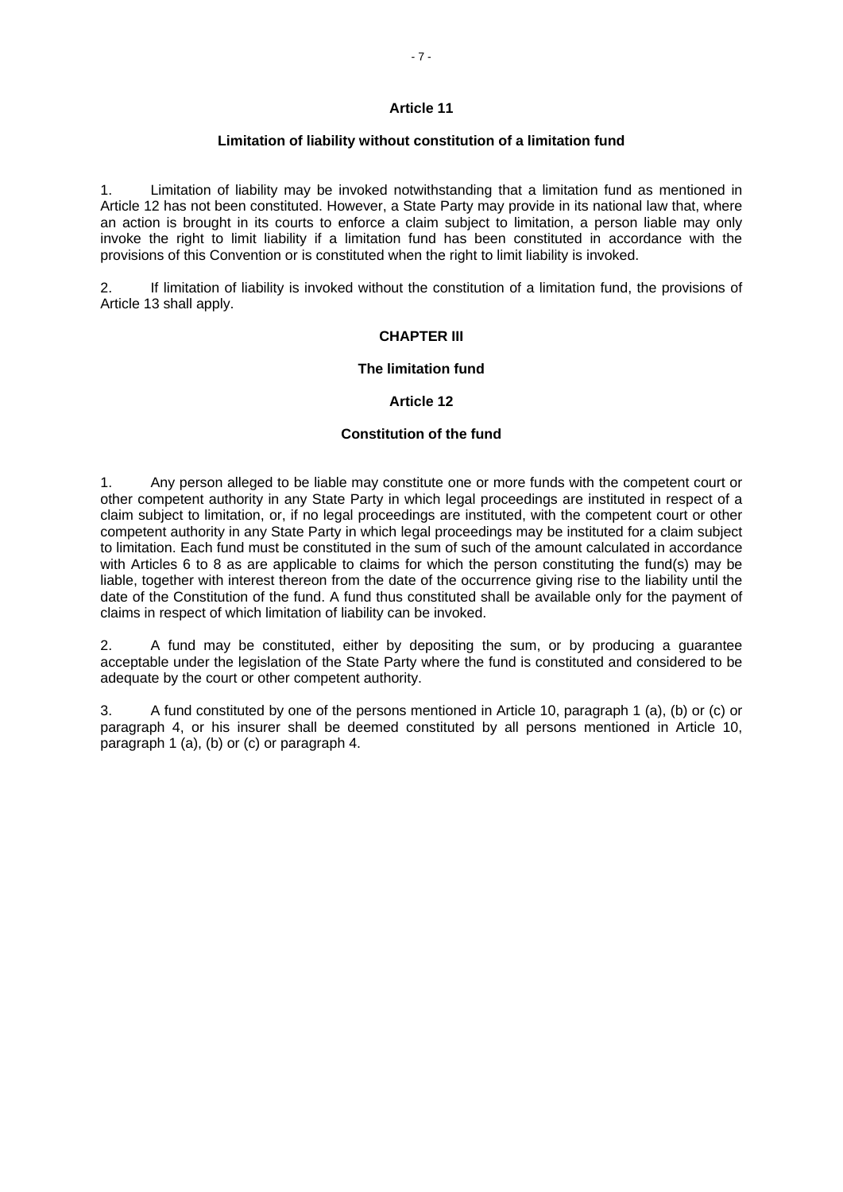#### **Limitation of liability without constitution of a limitation fund**

1. Limitation of liability may be invoked notwithstanding that a limitation fund as mentioned in Article 12 has not been constituted. However, a State Party may provide in its national law that, where an action is brought in its courts to enforce a claim subject to limitation, a person liable may only invoke the right to limit liability if a limitation fund has been constituted in accordance with the provisions of this Convention or is constituted when the right to limit liability is invoked.

2. If limitation of liability is invoked without the constitution of a limitation fund, the provisions of Article 13 shall apply.

# **CHAPTER III**

#### **The limitation fund**

#### **Article 12**

#### **Constitution of the fund**

1. Any person alleged to be liable may constitute one or more funds with the competent court or other competent authority in any State Party in which legal proceedings are instituted in respect of a claim subject to limitation, or, if no legal proceedings are instituted, with the competent court or other competent authority in any State Party in which legal proceedings may be instituted for a claim subject to limitation. Each fund must be constituted in the sum of such of the amount calculated in accordance with Articles 6 to 8 as are applicable to claims for which the person constituting the fund(s) may be liable, together with interest thereon from the date of the occurrence giving rise to the liability until the date of the Constitution of the fund. A fund thus constituted shall be available only for the payment of claims in respect of which limitation of liability can be invoked.

2. A fund may be constituted, either by depositing the sum, or by producing a guarantee acceptable under the legislation of the State Party where the fund is constituted and considered to be adequate by the court or other competent authority.

3. A fund constituted by one of the persons mentioned in Article 10, paragraph 1 (a), (b) or (c) or paragraph 4, or his insurer shall be deemed constituted by all persons mentioned in Article 10, paragraph 1 (a), (b) or (c) or paragraph 4.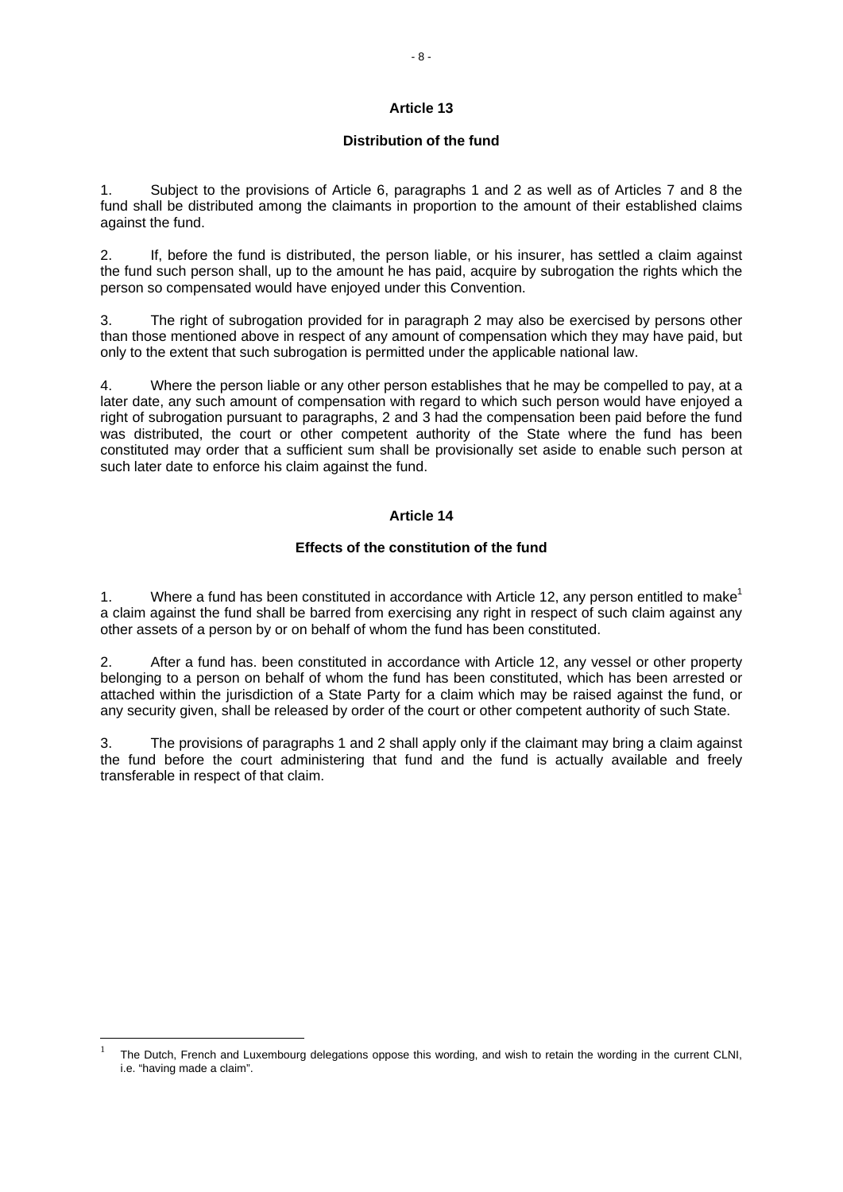# **Article 13**

## **Distribution of the fund**

1. Subject to the provisions of Article 6, paragraphs 1 and 2 as well as of Articles 7 and 8 the fund shall be distributed among the claimants in proportion to the amount of their established claims against the fund.

2. If, before the fund is distributed, the person liable, or his insurer, has settled a claim against the fund such person shall, up to the amount he has paid, acquire by subrogation the rights which the person so compensated would have enjoyed under this Convention.

3. The right of subrogation provided for in paragraph 2 may also be exercised by persons other than those mentioned above in respect of any amount of compensation which they may have paid, but only to the extent that such subrogation is permitted under the applicable national law.

4. Where the person liable or any other person establishes that he may be compelled to pay, at a later date, any such amount of compensation with regard to which such person would have enjoyed a right of subrogation pursuant to paragraphs, 2 and 3 had the compensation been paid before the fund was distributed, the court or other competent authority of the State where the fund has been constituted may order that a sufficient sum shall be provisionally set aside to enable such person at such later date to enforce his claim against the fund.

# **Article 14**

#### **Effects of the constitution of the fund**

1. Where a fund has been constituted in accordance with Article 12, any person entitled to make<sup>1</sup> a claim against the fund shall be barred from exercising any right in respect of such claim against any other assets of a person by or on behalf of whom the fund has been constituted.

2. After a fund has. been constituted in accordance with Article 12, any vessel or other property belonging to a person on behalf of whom the fund has been constituted, which has been arrested or attached within the jurisdiction of a State Party for a claim which may be raised against the fund, or any security given, shall be released by order of the court or other competent authority of such State.

3. The provisions of paragraphs 1 and 2 shall apply only if the claimant may bring a claim against the fund before the court administering that fund and the fund is actually available and freely transferable in respect of that claim.

1

<sup>1</sup> The Dutch, French and Luxembourg delegations oppose this wording, and wish to retain the wording in the current CLNI, i.e. "having made a claim".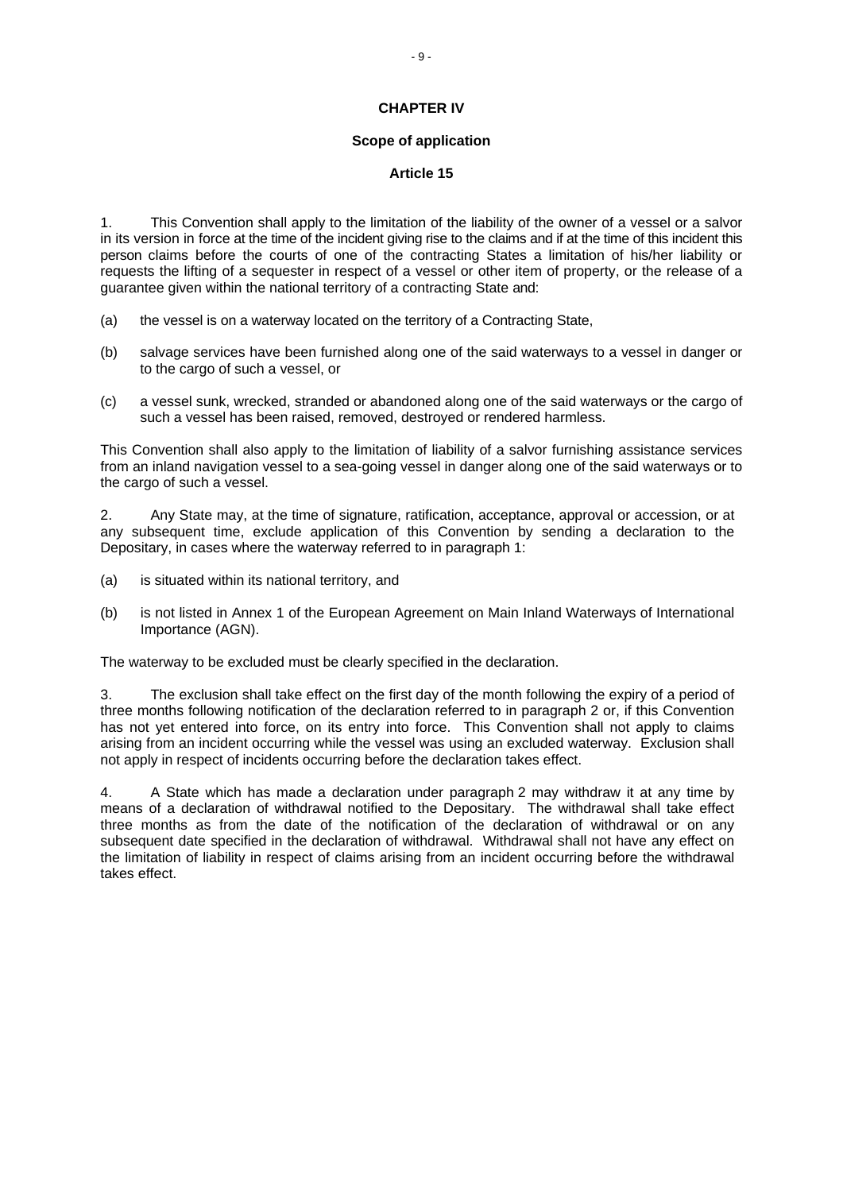# **CHAPTER IV**

#### **Scope of application**

#### **Article 15**

1. This Convention shall apply to the limitation of the liability of the owner of a vessel or a salvor in its version in force at the time of the incident giving rise to the claims and if at the time of this incident this person claims before the courts of one of the contracting States a limitation of his/her liability or requests the lifting of a sequester in respect of a vessel or other item of property, or the release of a guarantee given within the national territory of a contracting State and:

- (a) the vessel is on a waterway located on the territory of a Contracting State,
- (b) salvage services have been furnished along one of the said waterways to a vessel in danger or to the cargo of such a vessel, or
- (c) a vessel sunk, wrecked, stranded or abandoned along one of the said waterways or the cargo of such a vessel has been raised, removed, destroyed or rendered harmless.

This Convention shall also apply to the limitation of liability of a salvor furnishing assistance services from an inland navigation vessel to a sea-going vessel in danger along one of the said waterways or to the cargo of such a vessel.

2. Any State may, at the time of signature, ratification, acceptance, approval or accession, or at any subsequent time, exclude application of this Convention by sending a declaration to the Depositary, in cases where the waterway referred to in paragraph 1:

- (a) is situated within its national territory, and
- (b) is not listed in Annex 1 of the European Agreement on Main Inland Waterways of International Importance (AGN).

The waterway to be excluded must be clearly specified in the declaration.

3. The exclusion shall take effect on the first day of the month following the expiry of a period of three months following notification of the declaration referred to in paragraph 2 or, if this Convention has not yet entered into force, on its entry into force. This Convention shall not apply to claims arising from an incident occurring while the vessel was using an excluded waterway. Exclusion shall not apply in respect of incidents occurring before the declaration takes effect.

4. A State which has made a declaration under paragraph 2 may withdraw it at any time by means of a declaration of withdrawal notified to the Depositary. The withdrawal shall take effect three months as from the date of the notification of the declaration of withdrawal or on any subsequent date specified in the declaration of withdrawal. Withdrawal shall not have any effect on the limitation of liability in respect of claims arising from an incident occurring before the withdrawal takes effect.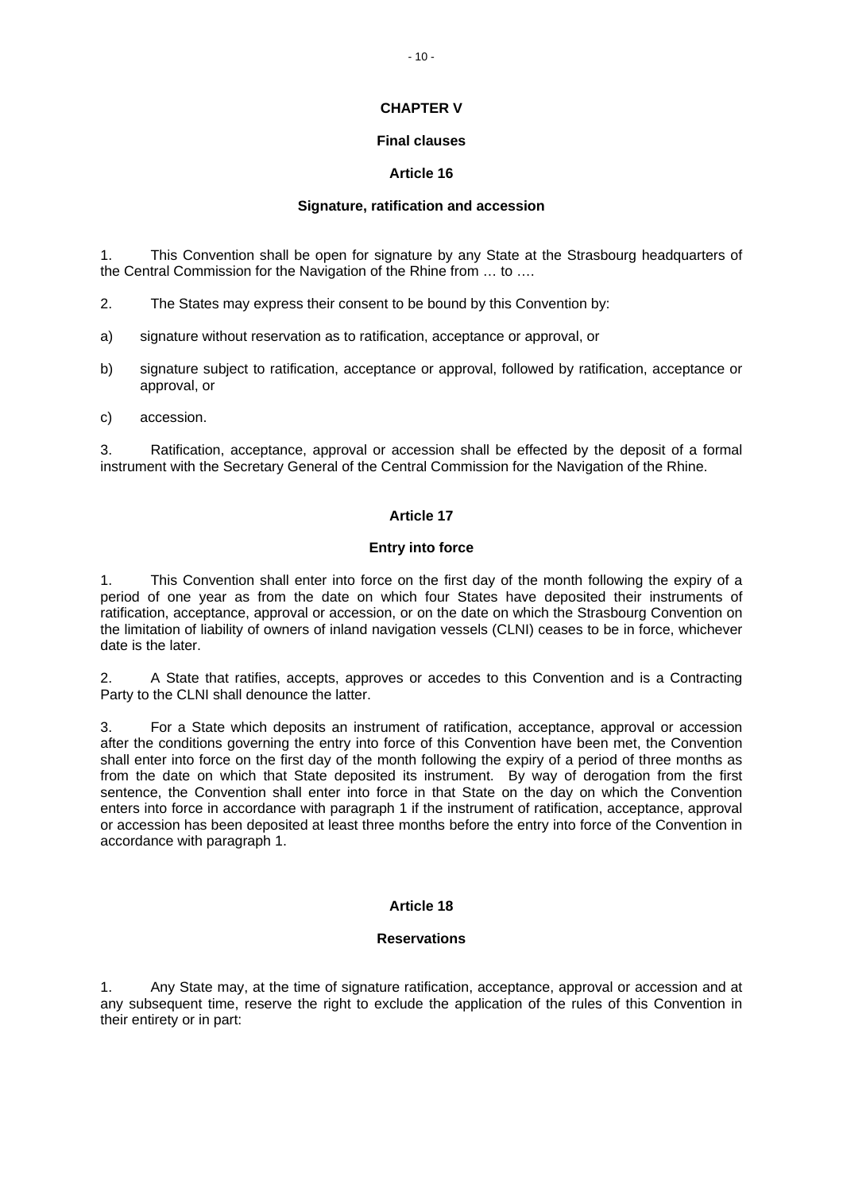# **CHAPTER V**

# **Final clauses**

# **Article 16**

# **Signature, ratification and accession**

1. This Convention shall be open for signature by any State at the Strasbourg headquarters of the Central Commission for the Navigation of the Rhine from … to ….

2. The States may express their consent to be bound by this Convention by:

- a) signature without reservation as to ratification, acceptance or approval, or
- b) signature subject to ratification, acceptance or approval, followed by ratification, acceptance or approval, or
- c) accession.

3. Ratification, acceptance, approval or accession shall be effected by the deposit of a formal instrument with the Secretary General of the Central Commission for the Navigation of the Rhine.

# **Article 17**

# **Entry into force**

1. This Convention shall enter into force on the first day of the month following the expiry of a period of one year as from the date on which four States have deposited their instruments of ratification, acceptance, approval or accession, or on the date on which the Strasbourg Convention on the limitation of liability of owners of inland navigation vessels (CLNI) ceases to be in force, whichever date is the later.

2. A State that ratifies, accepts, approves or accedes to this Convention and is a Contracting Party to the CLNI shall denounce the latter.

3. For a State which deposits an instrument of ratification, acceptance, approval or accession after the conditions governing the entry into force of this Convention have been met, the Convention shall enter into force on the first day of the month following the expiry of a period of three months as from the date on which that State deposited its instrument. By way of derogation from the first sentence, the Convention shall enter into force in that State on the day on which the Convention enters into force in accordance with paragraph 1 if the instrument of ratification, acceptance, approval or accession has been deposited at least three months before the entry into force of the Convention in accordance with paragraph 1.

# **Article 18**

# **Reservations**

1. Any State may, at the time of signature ratification, acceptance, approval or accession and at any subsequent time, reserve the right to exclude the application of the rules of this Convention in their entirety or in part: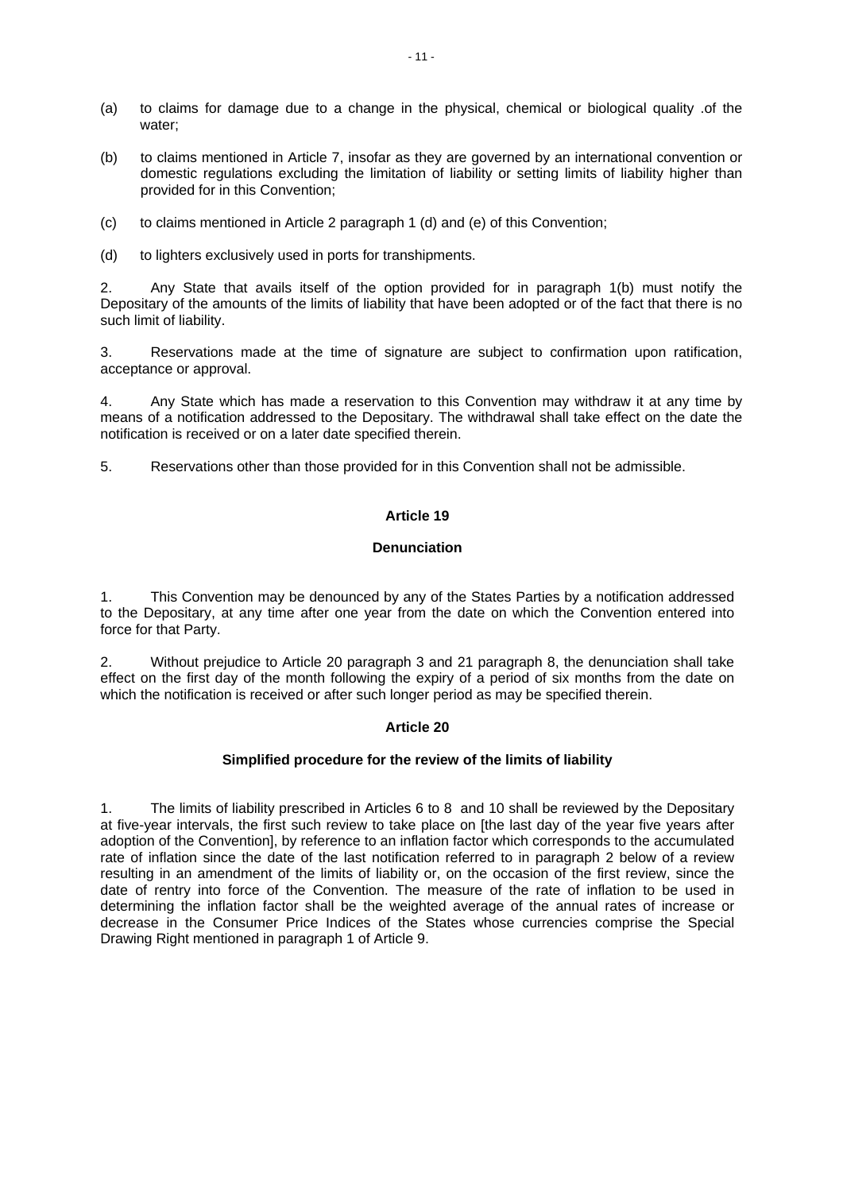- (a) to claims for damage due to a change in the physical, chemical or biological quality .of the water;
- (b) to claims mentioned in Article 7, insofar as they are governed by an international convention or domestic regulations excluding the limitation of liability or setting limits of liability higher than provided for in this Convention;
- (c) to claims mentioned in Article 2 paragraph 1 (d) and (e) of this Convention;
- (d) to lighters exclusively used in ports for transhipments.

2. Any State that avails itself of the option provided for in paragraph 1(b) must notify the Depositary of the amounts of the limits of liability that have been adopted or of the fact that there is no such limit of liability.

3. Reservations made at the time of signature are subject to confirmation upon ratification, acceptance or approval.

4. Any State which has made a reservation to this Convention may withdraw it at any time by means of a notification addressed to the Depositary. The withdrawal shall take effect on the date the notification is received or on a later date specified therein.

5. Reservations other than those provided for in this Convention shall not be admissible.

#### **Article 19**

#### **Denunciation**

1. This Convention may be denounced by any of the States Parties by a notification addressed to the Depositary, at any time after one year from the date on which the Convention entered into force for that Party.

2. Without prejudice to Article 20 paragraph 3 and 21 paragraph 8, the denunciation shall take effect on the first day of the month following the expiry of a period of six months from the date on which the notification is received or after such longer period as may be specified therein.

# **Article 20**

#### **Simplified procedure for the review of the limits of liability**

1. The limits of liability prescribed in Articles 6 to 8 and 10 shall be reviewed by the Depositary at five-year intervals, the first such review to take place on [the last day of the year five years after adoption of the Convention], by reference to an inflation factor which corresponds to the accumulated rate of inflation since the date of the last notification referred to in paragraph 2 below of a review resulting in an amendment of the limits of liability or, on the occasion of the first review, since the date of rentry into force of the Convention. The measure of the rate of inflation to be used in determining the inflation factor shall be the weighted average of the annual rates of increase or decrease in the Consumer Price Indices of the States whose currencies comprise the Special Drawing Right mentioned in paragraph 1 of Article 9.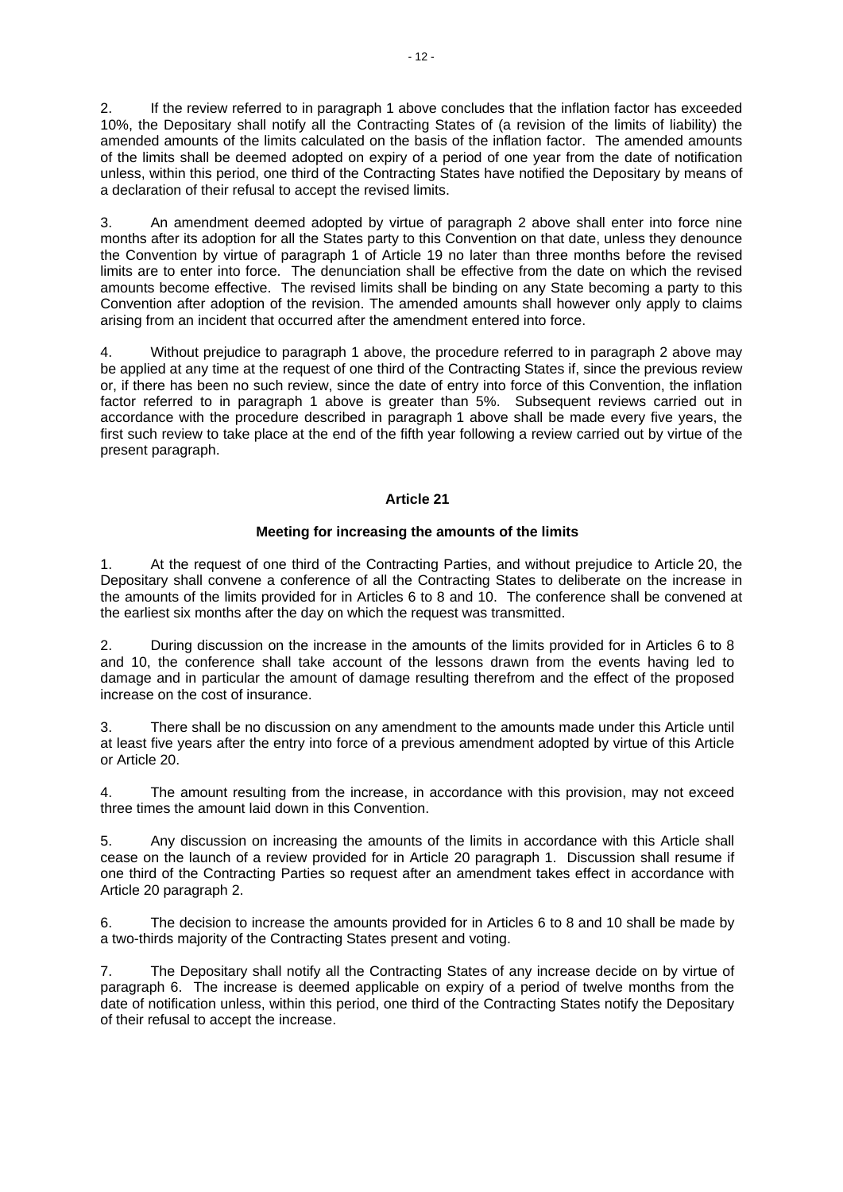2. If the review referred to in paragraph 1 above concludes that the inflation factor has exceeded 10%, the Depositary shall notify all the Contracting States of (a revision of the limits of liability) the amended amounts of the limits calculated on the basis of the inflation factor. The amended amounts of the limits shall be deemed adopted on expiry of a period of one year from the date of notification unless, within this period, one third of the Contracting States have notified the Depositary by means of a declaration of their refusal to accept the revised limits.

3. An amendment deemed adopted by virtue of paragraph 2 above shall enter into force nine months after its adoption for all the States party to this Convention on that date, unless they denounce the Convention by virtue of paragraph 1 of Article 19 no later than three months before the revised limits are to enter into force. The denunciation shall be effective from the date on which the revised amounts become effective. The revised limits shall be binding on any State becoming a party to this Convention after adoption of the revision. The amended amounts shall however only apply to claims arising from an incident that occurred after the amendment entered into force.

4. Without prejudice to paragraph 1 above, the procedure referred to in paragraph 2 above may be applied at any time at the request of one third of the Contracting States if, since the previous review or, if there has been no such review, since the date of entry into force of this Convention, the inflation factor referred to in paragraph 1 above is greater than 5%. Subsequent reviews carried out in accordance with the procedure described in paragraph 1 above shall be made every five years, the first such review to take place at the end of the fifth year following a review carried out by virtue of the present paragraph.

#### **Article 21**

#### **Meeting for increasing the amounts of the limits**

1. At the request of one third of the Contracting Parties, and without prejudice to Article 20, the Depositary shall convene a conference of all the Contracting States to deliberate on the increase in the amounts of the limits provided for in Articles 6 to 8 and 10. The conference shall be convened at the earliest six months after the day on which the request was transmitted.

2. During discussion on the increase in the amounts of the limits provided for in Articles 6 to 8 and 10, the conference shall take account of the lessons drawn from the events having led to damage and in particular the amount of damage resulting therefrom and the effect of the proposed increase on the cost of insurance.

3. There shall be no discussion on any amendment to the amounts made under this Article until at least five years after the entry into force of a previous amendment adopted by virtue of this Article or Article 20.

4. The amount resulting from the increase, in accordance with this provision, may not exceed three times the amount laid down in this Convention.

5. Any discussion on increasing the amounts of the limits in accordance with this Article shall cease on the launch of a review provided for in Article 20 paragraph 1. Discussion shall resume if one third of the Contracting Parties so request after an amendment takes effect in accordance with Article 20 paragraph 2.

6. The decision to increase the amounts provided for in Articles 6 to 8 and 10 shall be made by a two-thirds majority of the Contracting States present and voting.

7. The Depositary shall notify all the Contracting States of any increase decide on by virtue of paragraph 6. The increase is deemed applicable on expiry of a period of twelve months from the date of notification unless, within this period, one third of the Contracting States notify the Depositary of their refusal to accept the increase.